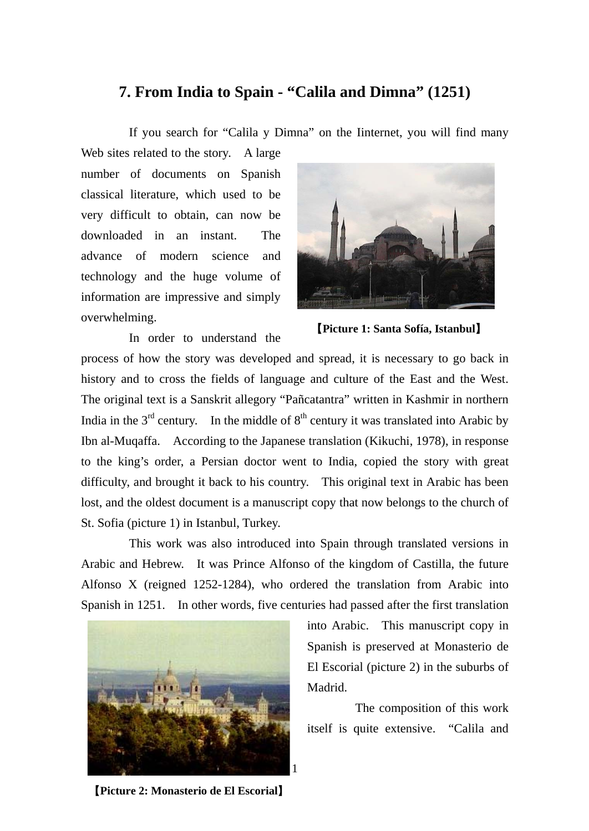## **7. From India to Spain - "Calila and Dimna" (1251)**

If you search for "Calila y Dimna" on the Iinternet, you will find many

Web sites related to the story. A large number of documents on Spanish classical literature, which used to be very difficult to obtain, can now be downloaded in an instant. The advance of modern science and technology and the huge volume of information are impressive and simply overwhelming.



In order to understand the

【**Picture 1: Santa Sofía, Istanbul**】

process of how the story was developed and spread, it is necessary to go back in history and to cross the fields of language and culture of the East and the West. The original text is a Sanskrit allegory "Pañcatantra" written in Kashmir in northern India in the  $3<sup>rd</sup>$  century. In the middle of  $8<sup>th</sup>$  century it was translated into Arabic by Ibn al-Muqaffa. According to the Japanese translation (Kikuchi, 1978), in response to the king's order, a Persian doctor went to India, copied the story with great difficulty, and brought it back to his country. This original text in Arabic has been lost, and the oldest document is a manuscript copy that now belongs to the church of St. Sofia (picture 1) in Istanbul, Turkey.

This work was also introduced into Spain through translated versions in Arabic and Hebrew. It was Prince Alfonso of the kingdom of Castilla, the future Alfonso X (reigned 1252-1284), who ordered the translation from Arabic into Spanish in 1251. In other words, five centuries had passed after the first translation



into Arabic. This manuscript copy in Spanish is preserved at Monasterio de El Escorial (picture 2) in the suburbs of Madrid.

The composition of this work itself is quite extensive. "Calila and

【**Picture 2: Monasterio de El Escorial**】